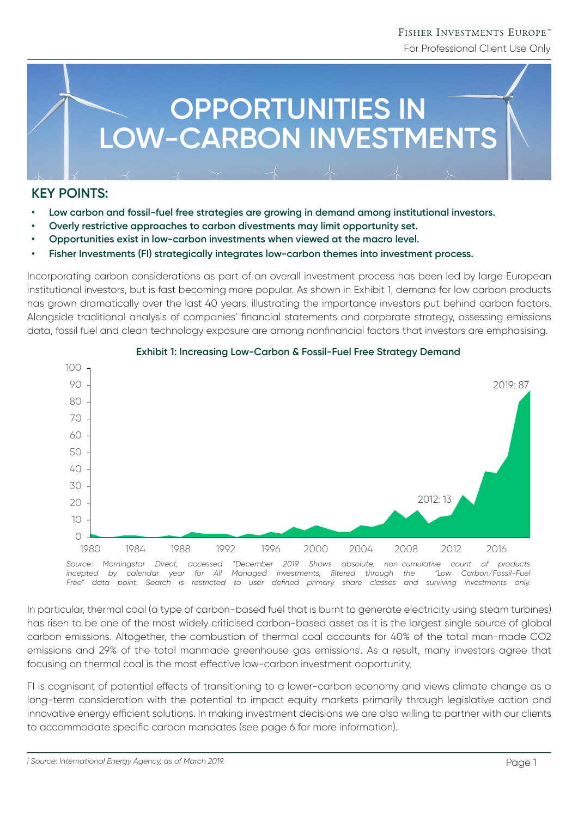# FISHER INVESTMENTS EUROPE™

For Professional Client Use Only



# **KEY POINTS:**

- **• Low carbon and fossil-fuel free strategies are growing in demand among institutional investors.**
- **• Overly restrictive approaches to carbon divestments may limit opportunity set.**
- **• Opportunities exist in low-carbon investments when viewed at the macro level.**
- **• Fisher Investments (FI) strategically integrates low-carbon themes into investment process.**

Incorporating carbon considerations as part of an overall investment process has been led by large European institutional investors, but is fast becoming more popular. As shown in Exhibit 1, demand for low carbon products has grown dramatically over the last 40 years, illustrating the importance investors put behind carbon factors. Alongside traditional analysis of companies' financial statements and corporate strategy, assessing emissions data, fossil fuel and clean technology exposure are among nonfinancial factors that investors are emphasising.



## **Exhibit 1: Increasing Low-Carbon & Fossil-Fuel Free Strategy Demand**

In particular, thermal coal (a type of carbon-based fuel that is burnt to generate electricity using steam turbines) has risen to be one of the most widely criticised carbon-based asset as it is the largest single source of global carbon emissions. Altogether, the combustion of thermal coal accounts for 40% of the total man-made CO2 emissions and 29% of the total manmade greenhouse gas emissionsi . As a result, many investors agree that focusing on thermal coal is the most effective low-carbon investment opportunity.

*Free" data point. Search is restricted to user defined primary share classes and surviving investments only.*

FI is cognisant of potential effects of transitioning to a lower-carbon economy and views climate change as a long-term consideration with the potential to impact equity markets primarily through legislative action and innovative energy efficient solutions. In making investment decisions we are also willing to partner with our clients to accommodate specific carbon mandates (see page 6 for more information).

*i Source: International Energy Agency, as of March 2019.*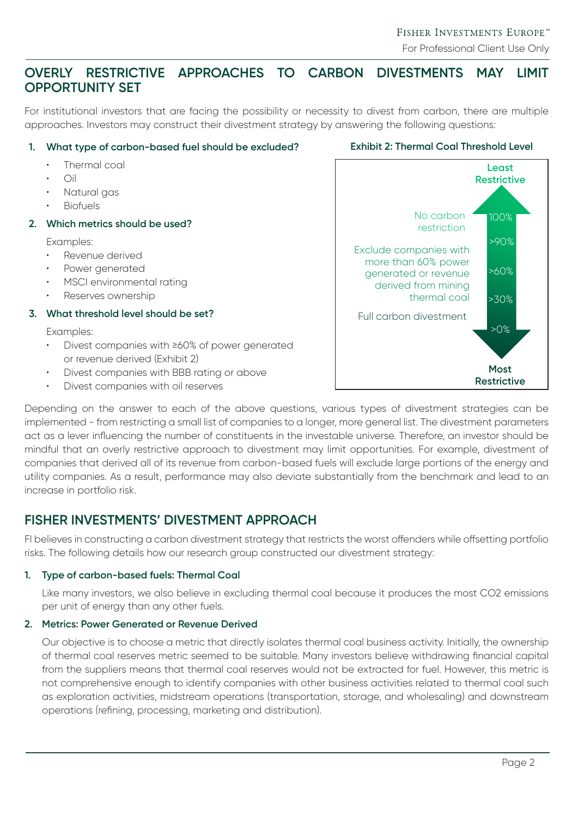# **OVERLY RESTRICTIVE APPROACHES TO CARBON DIVESTMENTS MAY LIMIT OPPORTUNITY SET**

For institutional investors that are facing the possibility or necessity to divest from carbon, there are multiple approaches. Investors may construct their divestment strategy by answering the following questions:

## **1. What type of carbon-based fuel should be excluded?**

- Thermal coal
- $\bigcap$ il
- Natural gas
- **Biofuels**
- **2. Which metrics should be used?**

Examples:

- Revenue derived
- Power generated
- MSCI environmental rating
- Reserves ownership

## **3. What threshold level should be set?**

Examples:

- Divest companies with ≥60% of power generated or revenue derived (Exhibit 2)
- Divest companies with BBB rating or above
- Divest companies with oil reserves



Depending on the answer to each of the above questions, various types of divestment strategies can be implemented - from restricting a small list of companies to a longer, more general list. The divestment parameters act as a lever influencing the number of constituents in the investable universe. Therefore, an investor should be mindful that an overly restrictive approach to divestment may limit opportunities. For example, divestment of companies that derived all of its revenue from carbon-based fuels will exclude large portions of the energy and utility companies. As a result, performance may also deviate substantially from the benchmark and lead to an increase in portfolio risk.

# **FISHER INVESTMENTS' DIVESTMENT APPROACH**

FI believes in constructing a carbon divestment strategy that restricts the worst offenders while offsetting portfolio risks. The following details how our research group constructed our divestment strategy:

## **1. Type of carbon-based fuels: Thermal Coal**

Like many investors, we also believe in excluding thermal coal because it produces the most CO2 emissions per unit of energy than any other fuels.

## **2. Metrics: Power Generated or Revenue Derived**

Our objective is to choose a metric that directly isolates thermal coal business activity. Initially, the ownership of thermal coal reserves metric seemed to be suitable. Many investors believe withdrawing financial capital from the suppliers means that thermal coal reserves would not be extracted for fuel. However, this metric is not comprehensive enough to identify companies with other business activities related to thermal coal such as exploration activities, midstream operations (transportation, storage, and wholesaling) and downstream operations (refining, processing, marketing and distribution).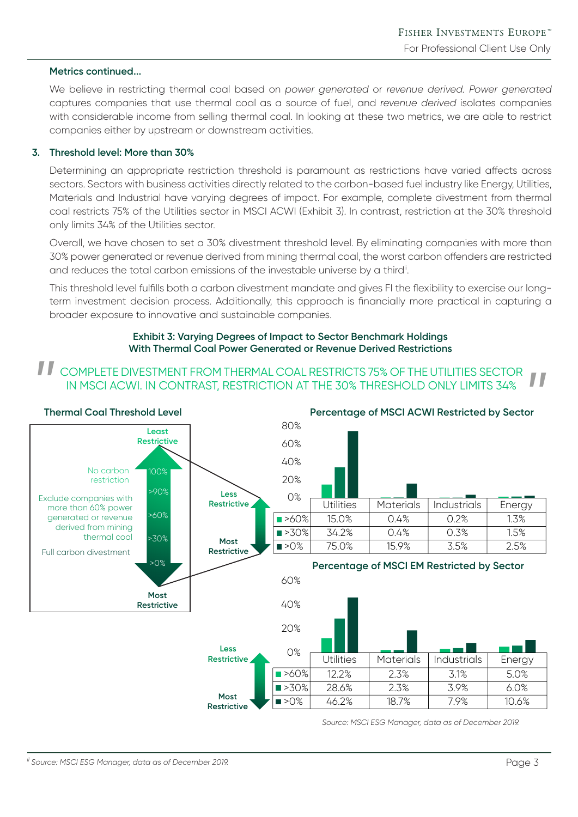## **Metrics continued...**

We believe in restricting thermal coal based on *power generated* or *revenue derived. Power generated*  captures companies that use thermal coal as a source of fuel, and *revenue derived* isolates companies with considerable income from selling thermal coal. In looking at these two metrics, we are able to restrict companies either by upstream or downstream activities.

#### **3. Threshold level: More than 30%**

Determining an appropriate restriction threshold is paramount as restrictions have varied affects across sectors. Sectors with business activities directly related to the carbon-based fuel industry like Energy, Utilities, Materials and Industrial have varying degrees of impact. For example, complete divestment from thermal coal restricts 75% of the Utilities sector in MSCI ACWI (Exhibit 3). In contrast, restriction at the 30% threshold only limits 34% of the Utilities sector.

Overall, we have chosen to set a 30% divestment threshold level. By eliminating companies with more than 30% power generated or revenue derived from mining thermal coal, the worst carbon offenders are restricted and reduces the total carbon emissions of the investable universe by a third<sup>ii</sup>.

This threshold level fulfills both a carbon divestment mandate and gives FI the flexibility to exercise our longterm investment decision process. Additionally, this approach is financially more practical in capturing a broader exposure to innovative and sustainable companies.

#### **Exhibit 3: Varying Degrees of Impact to Sector Benchmark Holdings With Thermal Coal Power Generated or Revenue Derived Restrictions**

## COMPLETE DIVESTMENT FROM THERMAL COAL RESTRICTS 75% OF THE UTILITIES SECTOR IN MSCI ACWI. IN CONTRAST, RESTRICTION AT THE 30% THRESHOLD ONLY LIMITS 34%



*Source: MSCI ESG Manager, data as of December 2019.*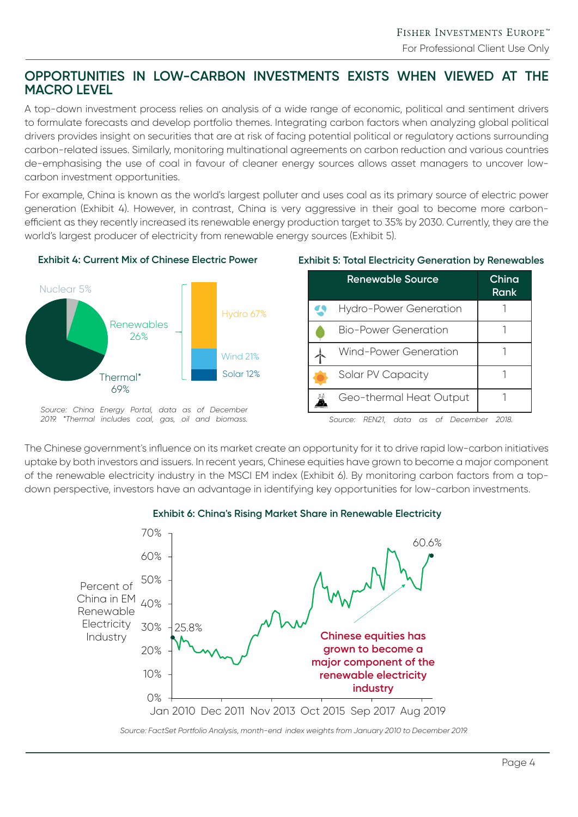# **OPPORTUNITIES IN LOW-CARBON INVESTMENTS EXISTS WHEN VIEWED AT THE MACRO LEVEL**

A top-down investment process relies on analysis of a wide range of economic, political and sentiment drivers to formulate forecasts and develop portfolio themes. Integrating carbon factors when analyzing global political drivers provides insight on securities that are at risk of facing potential political or regulatory actions surrounding carbon-related issues. Similarly, monitoring multinational agreements on carbon reduction and various countries de-emphasising the use of coal in favour of cleaner energy sources allows asset managers to uncover lowcarbon investment opportunities.

For example, China is known as the world's largest polluter and uses coal as its primary source of electric power generation (Exhibit 4). However, in contrast, China is very aggressive in their goal to become more carbonefficient as they recently increased its renewable energy production target to 35% by 2030. Currently, they are the world's largest producer of electricity from renewable energy sources (Exhibit 5).



### **Exhibit 4: Current Mix of Chinese Electric Power Exhibit 5: Total Electricity Generation by Renewables**

| Renewable Source             | China<br>Rank |
|------------------------------|---------------|
| Hydro-Power Generation       |               |
| Bio-Power Generation         |               |
| <b>Wind-Power Generation</b> |               |
| Solar PV Capacity            |               |
| Geo-thermal Heat Output      |               |

*Source: China Energy Portal, data as of December 2019. \*Thermal includes coal, gas, oil and biomass. Source: REN21, data as of December 2018.*

The Chinese government's influence on its market create an opportunity for it to drive rapid low-carbon initiatives uptake by both investors and issuers. In recent years, Chinese equities have grown to become a major component of the renewable electricity industry in the MSCI EM index (Exhibit 6). By monitoring carbon factors from a topdown perspective, investors have an advantage in identifying key opportunities for low-carbon investments.



## **Exhibit 6: China's Rising Market Share in Renewable Electricity**

*Source: FactSet Portfolio Analysis, month-end index weights from January 2010 to December 2019.*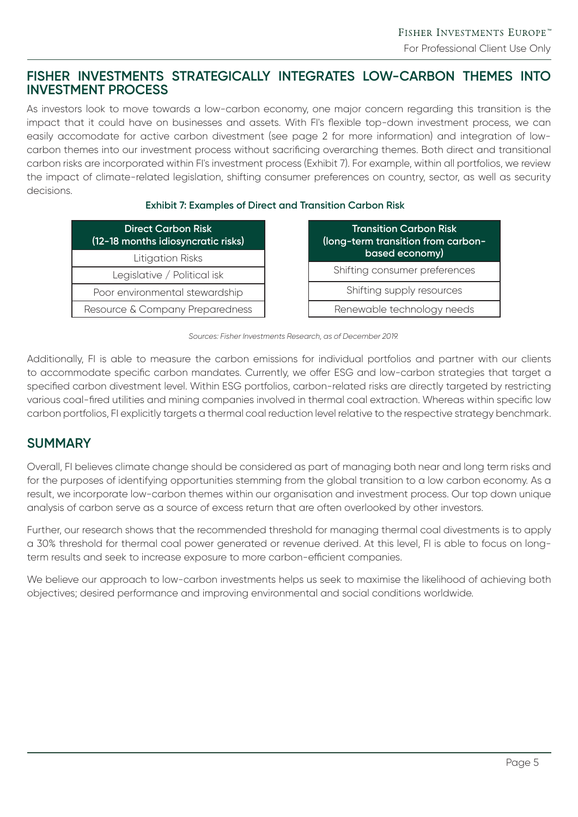# **FISHER INVESTMENTS STRATEGICALLY INTEGRATES LOW-CARBON THEMES INTO INVESTMENT PROCESS**

As investors look to move towards a low-carbon economy, one major concern regarding this transition is the impact that it could have on businesses and assets. With FI's flexible top-down investment process, we can easily accomodate for active carbon divestment (see page 2 for more information) and integration of lowcarbon themes into our investment process without sacrificing overarching themes. Both direct and transitional carbon risks are incorporated within FI's investment process (Exhibit 7). For example, within all portfolios, we review the impact of climate-related legislation, shifting consumer preferences on country, sector, as well as security decisions.

## **Exhibit 7: Examples of Direct and Transition Carbon Risk**

| <b>Direct Carbon Risk</b><br>(12-18 months idiosyncratic risks) |  |  |
|-----------------------------------------------------------------|--|--|
| Litigation Risks                                                |  |  |
| Legislative / Political isk                                     |  |  |
| Poor environmental stewardship                                  |  |  |
| Resource & Company Preparedness                                 |  |  |

| <b>Transition Carbon Risk</b><br>(long-term transition from carbon-<br>based economy) |  |
|---------------------------------------------------------------------------------------|--|
| Shifting consumer preferences                                                         |  |
| Shifting supply resources                                                             |  |
| Renewable technology needs                                                            |  |

*Sources: Fisher Investments Research, as of December 2019.*

Additionally, FI is able to measure the carbon emissions for individual portfolios and partner with our clients to accommodate specific carbon mandates. Currently, we offer ESG and low-carbon strategies that target a specified carbon divestment level. Within ESG portfolios, carbon-related risks are directly targeted by restricting various coal-fired utilities and mining companies involved in thermal coal extraction. Whereas within specific low carbon portfolios, FI explicitly targets a thermal coal reduction level relative to the respective strategy benchmark.

# **SUMMARY**

Overall, FI believes climate change should be considered as part of managing both near and long term risks and for the purposes of identifying opportunities stemming from the global transition to a low carbon economy. As a result, we incorporate low-carbon themes within our organisation and investment process. Our top down unique analysis of carbon serve as a source of excess return that are often overlooked by other investors.

Further, our research shows that the recommended threshold for managing thermal coal divestments is to apply a 30% threshold for thermal coal power generated or revenue derived. At this level, FI is able to focus on longterm results and seek to increase exposure to more carbon-efficient companies.

We believe our approach to low-carbon investments helps us seek to maximise the likelihood of achievina both objectives; desired performance and improving environmental and social conditions worldwide.